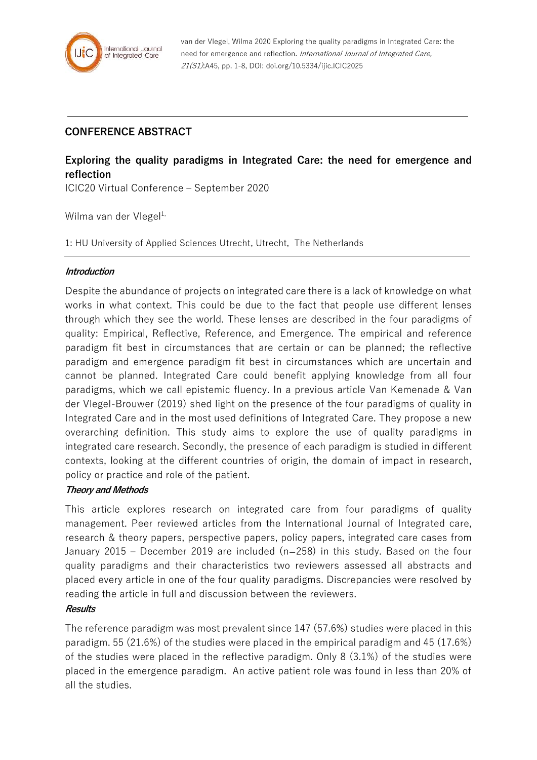

van der Vlegel, Wilma 2020 Exploring the quality paradigms in Integrated Care: the need for emergence and reflection. International Journal of Integrated Care, 21(S1):A45, pp. 1-8, DOI: doi.org/10.5334/ijic.ICIC2025

## **CONFERENCE ABSTRACT**

# **Exploring the quality paradigms in Integrated Care: the need for emergence and reflection**

ICIC20 Virtual Conference – September 2020

Wilma van der Vlegel<sup>1,</sup>

1: HU University of Applied Sciences Utrecht, Utrecht, The Netherlands

## **Introduction**

Despite the abundance of projects on integrated care there is a lack of knowledge on what works in what context. This could be due to the fact that people use different lenses through which they see the world. These lenses are described in the four paradigms of quality: Empirical, Reflective, Reference, and Emergence. The empirical and reference paradigm fit best in circumstances that are certain or can be planned; the reflective paradigm and emergence paradigm fit best in circumstances which are uncertain and cannot be planned. Integrated Care could benefit applying knowledge from all four paradigms, which we call epistemic fluency. In a previous article Van Kemenade & Van der Vlegel-Brouwer (2019) shed light on the presence of the four paradigms of quality in Integrated Care and in the most used definitions of Integrated Care. They propose a new overarching definition. This study aims to explore the use of quality paradigms in integrated care research. Secondly, the presence of each paradigm is studied in different contexts, looking at the different countries of origin, the domain of impact in research, policy or practice and role of the patient.

## **Theory and Methods**

This article explores research on integrated care from four paradigms of quality management. Peer reviewed articles from the International Journal of Integrated care, research & theory papers, perspective papers, policy papers, integrated care cases from January 2015 – December 2019 are included (n=258) in this study. Based on the four quality paradigms and their characteristics two reviewers assessed all abstracts and placed every article in one of the four quality paradigms. Discrepancies were resolved by reading the article in full and discussion between the reviewers.

## **Results**

The reference paradigm was most prevalent since 147 (57.6%) studies were placed in this paradigm. 55 (21.6%) of the studies were placed in the empirical paradigm and 45 (17.6%) of the studies were placed in the reflective paradigm. Only 8 (3.1%) of the studies were placed in the emergence paradigm. An active patient role was found in less than 20% of all the studies.